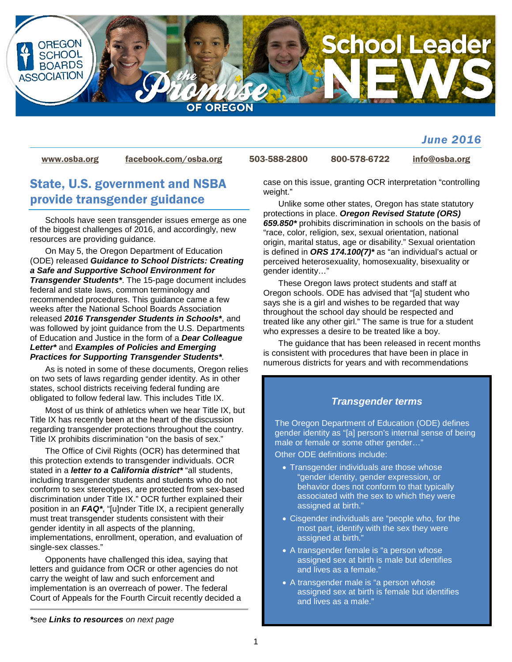

### *June 2016*

[www.osba.org](http://www.osba.org/) [facebook.com/osba.org](http://www.facebook.com/osba.org) 503-588-2800 800-578-6722 [info@osba.org](mailto:info@osba.org)

## State, U.S. government and NSBA provide transgender guidance

Schools have seen transgender issues emerge as one of the biggest challenges of 2016, and accordingly, new resources are providing guidance.

On May 5, the Oregon Department of Education (ODE) released *Guidance to School Districts: Creating a Safe and Supportive School Environment for Transgender Students\**. The 15-page document includes federal and state laws, common terminology and recommended procedures. This guidance came a few weeks after the National School Boards Association released *2016 Transgender Students in Schools\**, and was followed by joint guidance from the U.S. Departments of Education and Justice in the form of a *Dear Colleague Letter\** and *Examples of Policies and Emerging Practices for Supporting Transgender Students\*.*

As is noted in some of these documents, Oregon relies on two sets of laws regarding gender identity. As in other states, school districts receiving federal funding are obligated to follow federal law. This includes Title IX.

Most of us think of athletics when we hear Title IX, but Title IX has recently been at the heart of the discussion regarding transgender protections throughout the country. Title IX prohibits discrimination "on the basis of sex."

The Office of Civil Rights (OCR) has determined that this protection extends to transgender individuals. OCR stated in a *letter to a California district\** "all students, including transgender students and students who do not conform to sex stereotypes, are protected from sex-based discrimination under Title IX." OCR further explained their position in an *FAQ\**, "[u]nder Title IX, a recipient generally must treat transgender students consistent with their gender identity in all aspects of the planning, implementations, enrollment, operation, and evaluation of single-sex classes."

Opponents have challenged this idea, saying that letters and guidance from OCR or other agencies do not carry the weight of law and such enforcement and implementation is an overreach of power. The federal Court of Appeals for the Fourth Circuit recently decided a case on this issue, granting OCR interpretation "controlling weight."

Unlike some other states, Oregon has state statutory protections in place. *Oregon Revised Statute (ORS) 659.850\** prohibits discrimination in schools on the basis of "race, color, religion, sex, sexual orientation, national origin, marital status, age or disability." Sexual orientation is defined in *ORS 174.100(7)\** as "an individual's actual or perceived heterosexuality, homosexuality, bisexuality or gender identity…"

These Oregon laws protect students and staff at Oregon schools. ODE has advised that "[a] student who says she is a girl and wishes to be regarded that way throughout the school day should be respected and treated like any other girl." The same is true for a student who expresses a desire to be treated like a boy.

The guidance that has been released in recent months is consistent with procedures that have been in place in numerous districts for years and with recommendations

### *Transgender terms*

The Oregon Department of Education (ODE) defines gender identity as "[a] person's internal sense of being male or female or some other gender…"

Other ODE definitions include:

- Transgender individuals are those whose "gender identity, gender expression, or behavior does not conform to that typically associated with the sex to which they were assigned at birth."
- Cisgender individuals are "people who, for the most part, identify with the sex they were assigned at birth."
- A transgender female is "a person whose assigned sex at birth is male but identifies and lives as a female."
- A transgender male is "a person whose assigned sex at birth is female but identifies and lives as a male."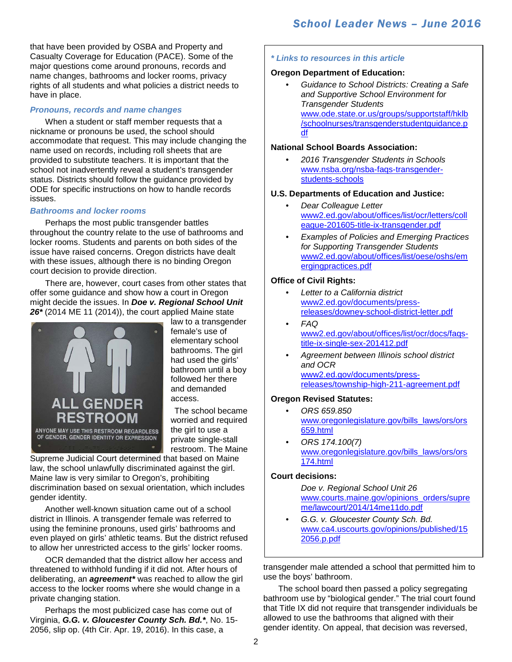that have been provided by OSBA and Property and Casualty Coverage for Education (PACE). Some of the major questions come around pronouns, records and name changes, bathrooms and locker rooms, privacy rights of all students and what policies a district needs to have in place.

### *Pronouns, records and name changes*

When a student or staff member requests that a nickname or pronouns be used, the school should accommodate that request. This may include changing the name used on records, including roll sheets that are provided to substitute teachers. It is important that the school not inadvertently reveal a student's transgender status. Districts should follow the guidance provided by ODE for specific instructions on how to handle records issues.

### *Bathrooms and locker rooms*

Perhaps the most public transgender battles throughout the country relate to the use of bathrooms and locker rooms. Students and parents on both sides of the issue have raised concerns. Oregon districts have dealt with these issues, although there is no binding Oregon court decision to provide direction.

There are, however, court cases from other states that offer some guidance and show how a court in Oregon might decide the issues. In *Doe v. Regional School Unit 26\** (2014 ME 11 (2014)), the court applied Maine state



law to a transgender female's use of elementary school bathrooms. The girl had used the girls' bathroom until a boy followed her there and demanded access.

The school became worried and required the girl to use a private single-stall restroom. The Maine

Supreme Judicial Court determined that based on Maine law, the school unlawfully discriminated against the girl. Maine law is very similar to Oregon's, prohibiting discrimination based on sexual orientation, which includes gender identity.

Another well-known situation came out of a school district in Illinois. A transgender female was referred to using the feminine pronouns, used girls' bathrooms and even played on girls' athletic teams. But the district refused to allow her unrestricted access to the girls' locker rooms.

OCR demanded that the district allow her access and threatened to withhold funding if it did not. After hours of deliberating, an *agreement\** was reached to allow the girl access to the locker rooms where she would change in a private changing station.

Perhaps the most publicized case has come out of Virginia, *G.G. v. Gloucester County Sch. Bd.\**, No. 15- 2056, slip op. (4th Cir. Apr. 19, 2016). In this case, a

### *\* Links to resources in this article*

### **Oregon Department of Education:**

• *Guidance to School Districts: Creating a Safe and Supportive School Environment for Transgender Students* [www.ode.state.or.us/groups/supportstaff/hklb](http://www.ode.state.or.us/groups/supportstaff/hklb/schoolnurses/transgenderstudentguidance.pdf) [/schoolnurses/transgenderstudentguidance.p](http://www.ode.state.or.us/groups/supportstaff/hklb/schoolnurses/transgenderstudentguidance.pdf) [df](http://www.ode.state.or.us/groups/supportstaff/hklb/schoolnurses/transgenderstudentguidance.pdf)

### **National School Boards Association:**

• *2016 Transgender Students in Schools* [www.nsba.org/nsba-faqs-transgender](http://www.nsba.org/nsba-faqs-transgender-students-schools)[students-schools](http://www.nsba.org/nsba-faqs-transgender-students-schools)

### **U.S. Departments of Education and Justice:**

- *Dear Colleague Letter* [www2.ed.gov/about/offices/list/ocr/letters/coll](http://www2.ed.gov/about/offices/list/ocr/letters/colleague-201605-title-ix-transgender.pdf) [eague-201605-title-ix-transgender.pdf](http://www2.ed.gov/about/offices/list/ocr/letters/colleague-201605-title-ix-transgender.pdf)
- *Examples of Policies and Emerging Practices for Supporting Transgender Students* [www2.ed.gov/about/offices/list/oese/oshs/em](http://www2.ed.gov/about/offices/list/oese/oshs/emergingpractices.pdf) [ergingpractices.pdf](http://www2.ed.gov/about/offices/list/oese/oshs/emergingpractices.pdf)

### **Office of Civil Rights:**

- *Letter to a California district* [www2.ed.gov/documents/press](http://www2.ed.gov/documents/press-releases/downey-school-district-letter.pdf)[releases/downey-school-district-letter.pdf](http://www2.ed.gov/documents/press-releases/downey-school-district-letter.pdf)
- *FAQ* [www2.ed.gov/about/offices/list/ocr/docs/faqs](http://www2.ed.gov/about/offices/list/ocr/docs/faqs-title-ix-single-sex-201412.pdf)[title-ix-single-sex-201412.pdf](http://www2.ed.gov/about/offices/list/ocr/docs/faqs-title-ix-single-sex-201412.pdf)
- *Agreement between Illinois school district and OCR* [www2.ed.gov/documents/press](http://www2.ed.gov/documents/press-releases/township-high-211-agreement.pdf)[releases/township-high-211-agreement.pdf](http://www2.ed.gov/documents/press-releases/township-high-211-agreement.pdf)

### **Oregon Revised Statutes:**

- *ORS 659.850* [www.oregonlegislature.gov/bills\\_laws/ors/ors](https://www.oregonlegislature.gov/bills_laws/ors/ors659.html) [659.html](https://www.oregonlegislature.gov/bills_laws/ors/ors659.html)
- *ORS 174.100(7)* [www.oregonlegislature.gov/bills\\_laws/ors/ors](https://www.oregonlegislature.gov/bills_laws/ors/ors174.html) [174.html](https://www.oregonlegislature.gov/bills_laws/ors/ors174.html)

### **Court decisions:**

*Doe v. Regional School Unit 26* [www.courts.maine.gov/opinions\\_orders/supre](http://www.courts.maine.gov/opinions_orders/supreme/lawcourt/2014/14me11do.pdf) [me/lawcourt/2014/14me11do.pdf](http://www.courts.maine.gov/opinions_orders/supreme/lawcourt/2014/14me11do.pdf)

• *G.G. v. Gloucester County Sch. Bd.* [www.ca4.uscourts.gov/opinions/published/15](http://www.ca4.uscourts.gov/opinions/published/152056.p.pdf) [2056.p.pdf](http://www.ca4.uscourts.gov/opinions/published/152056.p.pdf)

transgender male attended a school that permitted him to use the boys' bathroom.

The school board then passed a policy segregating bathroom use by "biological gender." The trial court found that Title IX did not require that transgender individuals be allowed to use the bathrooms that aligned with their gender identity. On appeal, that decision was reversed,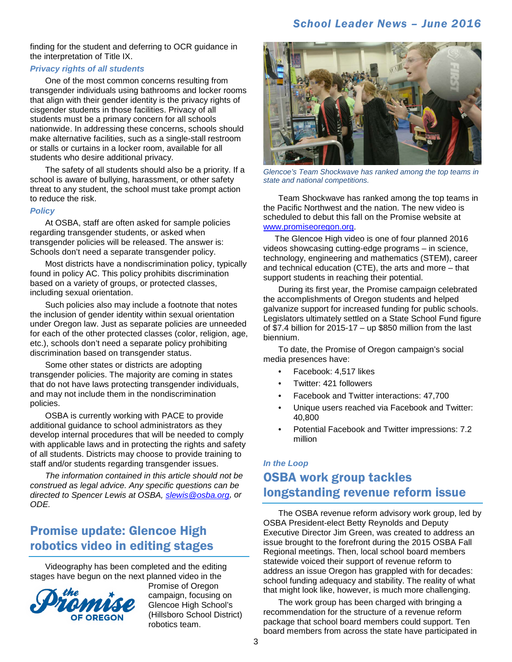### *School Leader News – June 2016*

finding for the student and deferring to OCR guidance in the interpretation of Title IX.

### *Privacy rights of all students*

One of the most common concerns resulting from transgender individuals using bathrooms and locker rooms that align with their gender identity is the privacy rights of cisgender students in those facilities. Privacy of all students must be a primary concern for all schools nationwide. In addressing these concerns, schools should make alternative facilities, such as a single-stall restroom or stalls or curtains in a locker room, available for all students who desire additional privacy.

The safety of all students should also be a priority. If a school is aware of bullying, harassment, or other safety threat to any student, the school must take prompt action to reduce the risk.

#### *Policy*

At OSBA, staff are often asked for sample policies regarding transgender students, or asked when transgender policies will be released. The answer is: Schools don't need a separate transgender policy.

Most districts have a nondiscrimination policy, typically found in policy AC. This policy prohibits discrimination based on a variety of groups, or protected classes, including sexual orientation.

Such policies also may include a footnote that notes the inclusion of gender identity within sexual orientation under Oregon law. Just as separate policies are unneeded for each of the other protected classes (color, religion, age, etc.), schools don't need a separate policy prohibiting discrimination based on transgender status.

Some other states or districts are adopting transgender policies. The majority are coming in states that do not have laws protecting transgender individuals, and may not include them in the nondiscrimination policies.

OSBA is currently working with PACE to provide additional guidance to school administrators as they develop internal procedures that will be needed to comply with applicable laws and in protecting the rights and safety of all students. Districts may choose to provide training to staff and/or students regarding transgender issues.

*The information contained in this article should not be construed as legal advice. Any specific questions can be directed to Spencer Lewis at OSBA, [slewis@osba.org,](mailto:slewis@osba.org?subject=Transgender%20guidance) or ODE.*

## Promise update: Glencoe High robotics video in editing stages

Videography has been completed and the editing [stages have begun on the next pla](http://promiseoregon.org/)nned video in the



Promise of Oregon campaign, focusing on Glencoe High School's (Hillsboro School District) robotics team.



*Glencoe's Team Shockwave has ranked among the top teams in state and national competitions.* 

Team Shockwave has ranked among the top teams in the Pacific Northwest and the nation. The new video is scheduled to debut this fall on the Promise website at [www.promiseoregon.org.](http://promiseoregon.org/)

 The Glencoe High video is one of four planned 2016 videos showcasing cutting-edge programs – in science, technology, engineering and mathematics (STEM), career and technical education (CTE), the arts and more – that support students in reaching their potential.

During its first year, the Promise campaign celebrated the accomplishments of Oregon students and helped galvanize support for increased funding for public schools. Legislators ultimately settled on a State School Fund figure of  $$7.4$  billion for 2015-17 – up  $$850$  million from the last biennium.

To date, the Promise of Oregon campaign's social media presences have:

- Facebook: 4,517 likes
- Twitter: 421 followers
- Facebook and Twitter interactions: 47,700
- Unique users reached via Facebook and Twitter: 40,800
- Potential Facebook and Twitter impressions: 7.2 million

## *In the Loop* OSBA work group tackles longstanding revenue reform issue

The OSBA revenue reform advisory work group, led by OSBA President-elect Betty Reynolds and Deputy Executive Director Jim Green, was created to address an issue brought to the forefront during the 2015 OSBA Fall Regional meetings. Then, local school board members statewide voiced their support of revenue reform to address an issue Oregon has grappled with for decades: school funding adequacy and stability. The reality of what that might look like, however, is much more challenging.

The work group has been charged with bringing a recommendation for the structure of a revenue reform package that school board members could support. Ten board members from across the state have participated in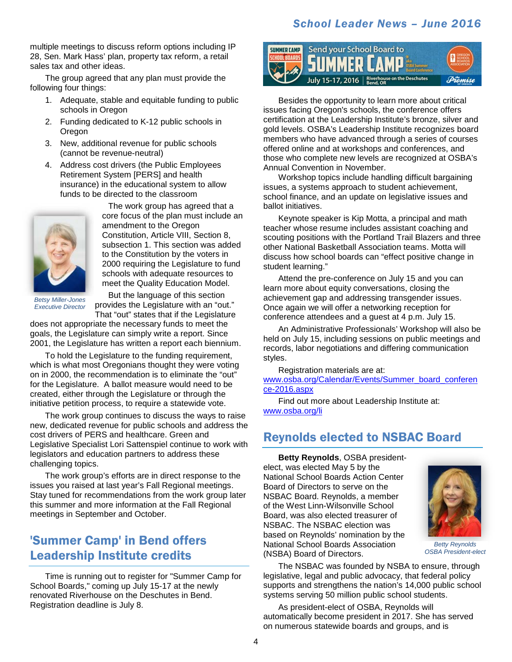### *School Leader News – June 2016*

multiple meetings to discuss reform options including IP 28, Sen. Mark Hass' plan, property tax reform, a retail sales tax and other ideas.

The group agreed that any plan must provide the following four things:

- 1. Adequate, stable and equitable funding to public schools in Oregon
- 2. Funding dedicated to K-12 public schools in Oregon
- 3. New, additional revenue for public schools (cannot be revenue-neutral)
- 4. Address cost drivers (the Public Employees Retirement System [PERS] and health insurance) in the educational system to allow funds to be directed to the classroom



The work group has agreed that a core focus of the plan must include an amendment to the Oregon Constitution, Article VIII, Section 8, subsection 1. This section was added to the Constitution by the voters in 2000 requiring the Legislature to fund schools with adequate resources to meet the Quality Education Model.

*Betsy Miller-Jones Executive Director*

But the language of this section provides the Legislature with an "out." That "out" states that if the Legislature

does not appropriate the necessary funds to meet the goals, the Legislature can simply write a report. Since 2001, the Legislature has written a report each biennium.

To hold the Legislature to the funding requirement, which is what most Oregonians thought they were voting on in 2000, the recommendation is to eliminate the "out" for the Legislature. A ballot measure would need to be created, either through the Legislature or through the initiative petition process, to require a statewide vote.

The work group continues to discuss the ways to raise new, dedicated revenue for public schools and address the cost drivers of PERS and healthcare. Green and Legislative Specialist Lori Sattenspiel continue to work with legislators and education partners to address these challenging topics.

The work group's efforts are in direct response to the issues you raised at last year's Fall Regional meetings. Stay tuned for recommendations from the work group later this summer and more information at the Fall Regional meetings in September and October.

## 'Summer Camp' in Bend offers Leadership Institute credits

Time is running out to register for "Summer Camp for School Boards," coming up July 15-17 at the newly renovated Riverhouse on the Deschutes in Bend. Registration deadline is July 8.



Besides the opportunity to learn more about critical issues facing Oregon's schools, the conference offers certification at the Leadership Institute's bronze, silver and gold levels. OSBA's Leadership Institute recognizes board members who have advanced through a series of courses offered online and at workshops and conferences, and those who complete new levels are recognized at OSBA's Annual Convention in November.

Workshop topics include handling difficult bargaining issues, a systems approach to student achievement, school finance, and an update on legislative issues and ballot initiatives.

Keynote speaker is Kip Motta, a principal and math teacher whose resume includes assistant coaching and scouting positions with the Portland Trail Blazers and three other National Basketball Association teams. Motta will discuss how school boards can "effect positive change in student learning."

Attend the pre-conference on July 15 and you can learn more about equity conversations, closing the achievement gap and addressing transgender issues. Once again we will offer a networking reception for conference attendees and a guest at 4 p.m. July 15.

An Administrative Professionals' Workshop will also be held on July 15, including sessions on public meetings and records, labor negotiations and differing communication styles.

Registration materials are at:

[www.osba.org/Calendar/Events/Summer\\_board\\_conferen](http://www.osba.org/Calendar/Events/Summer_board_conference-2016.aspx)\_ [ce-2016.aspx](http://www.osba.org/Calendar/Events/Summer_board_conference-2016.aspx)

Find out more about Leadership Institute at: [www.osba.org/li](http://www.osba.org/li)

## Reynolds elected to NSBAC Board

**Betty Reynolds**, OSBA presidentelect, was elected May 5 by the National School Boards Action Center Board of Directors to serve on the NSBAC Board. Reynolds, a member of the West Linn-Wilsonville School Board, was also elected treasurer of NSBAC. The NSBAC election was based on Reynolds' nomination by the National School Boards Association (NSBA) Board of Directors.



*Betty Reynolds OSBA President-elect*

The NSBAC was founded by NSBA to ensure, through legislative, legal and public advocacy, that federal policy supports and strengthens the nation's 14,000 public school systems serving 50 million public school students.

As president-elect of OSBA, Reynolds will automatically become president in 2017. She has served on numerous statewide boards and groups, and is